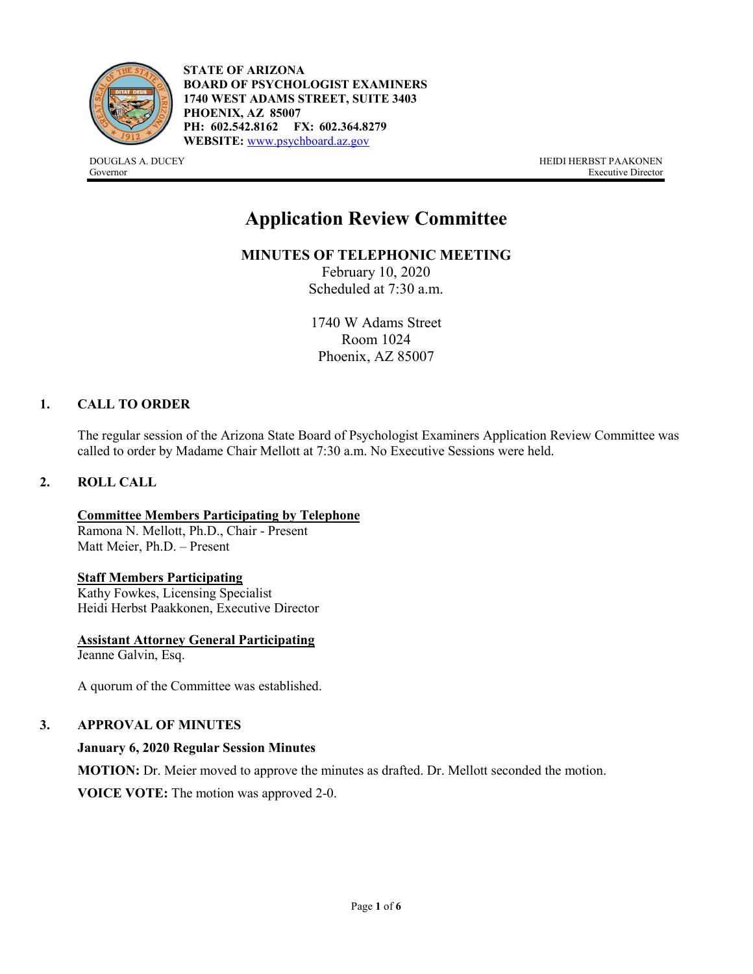

**STATE OF ARIZONA BOARD OF PSYCHOLOGIST EXAMINERS 1740 WEST ADAMS STREET, SUITE 3403 PHOENIX, AZ 85007 PH: 602.542.8162 FX: 602.364.8279 WEBSITE:** [www.psychboard.az.gov](http://www.psychboard.az.gov/)

DOUGLAS A. DUCEY HEIDI HERBST PAAKONEN Governor Executive Director

# **Application Review Committee**

**MINUTES OF TELEPHONIC MEETING** 

February 10, 2020 Scheduled at 7:30 a.m.

1740 W Adams Street Room 1024 Phoenix, AZ 85007

# **1. CALL TO ORDER**

The regular session of the Arizona State Board of Psychologist Examiners Application Review Committee was called to order by Madame Chair Mellott at 7:30 a.m. No Executive Sessions were held.

#### **2. ROLL CALL**

**Committee Members Participating by Telephone** Ramona N. Mellott, Ph.D., Chair - Present Matt Meier, Ph.D. – Present

#### **Staff Members Participating**

Kathy Fowkes, Licensing Specialist Heidi Herbst Paakkonen, Executive Director

**Assistant Attorney General Participating** Jeanne Galvin, Esq.

A quorum of the Committee was established.

# **3. APPROVAL OF MINUTES**

#### **January 6, 2020 Regular Session Minutes**

**MOTION:** Dr. Meier moved to approve the minutes as drafted. Dr. Mellott seconded the motion.

**VOICE VOTE:** The motion was approved 2-0.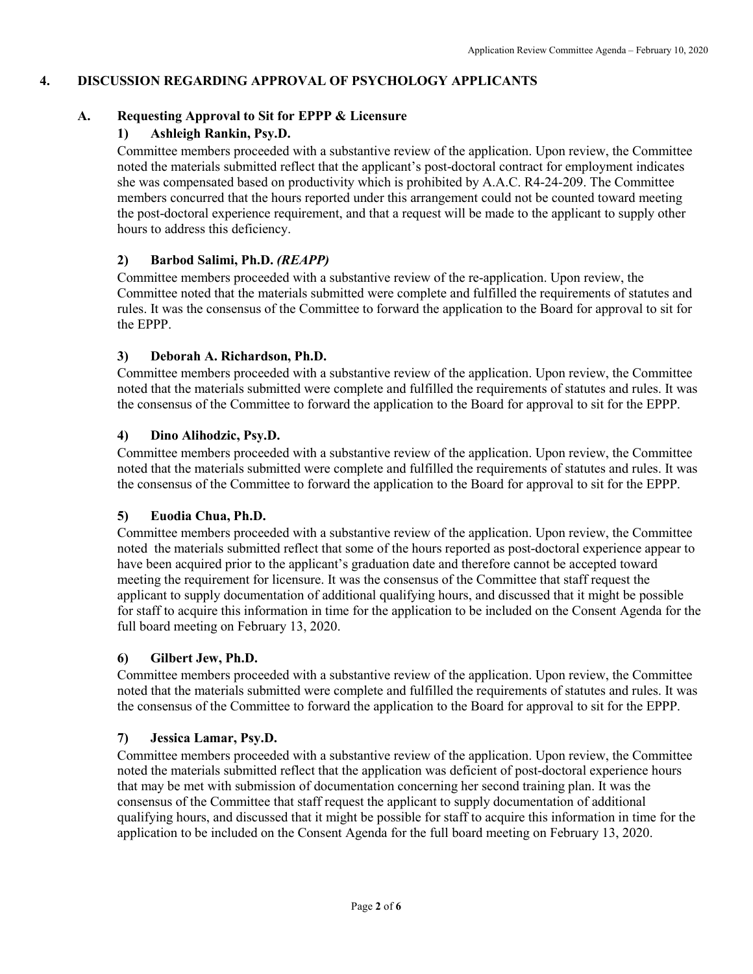# **4. DISCUSSION REGARDING APPROVAL OF PSYCHOLOGY APPLICANTS**

# **A. Requesting Approval to Sit for EPPP & Licensure**

# **1) Ashleigh Rankin, Psy.D.**

Committee members proceeded with a substantive review of the application. Upon review, the Committee noted the materials submitted reflect that the applicant's post-doctoral contract for employment indicates she was compensated based on productivity which is prohibited by A.A.C. R4-24-209. The Committee members concurred that the hours reported under this arrangement could not be counted toward meeting the post-doctoral experience requirement, and that a request will be made to the applicant to supply other hours to address this deficiency.

# **2) Barbod Salimi, Ph.D.** *(REAPP)*

Committee members proceeded with a substantive review of the re-application. Upon review, the Committee noted that the materials submitted were complete and fulfilled the requirements of statutes and rules. It was the consensus of the Committee to forward the application to the Board for approval to sit for the EPPP.

# **3) Deborah A. Richardson, Ph.D.**

Committee members proceeded with a substantive review of the application. Upon review, the Committee noted that the materials submitted were complete and fulfilled the requirements of statutes and rules. It was the consensus of the Committee to forward the application to the Board for approval to sit for the EPPP.

# **4) Dino Alihodzic, Psy.D.**

Committee members proceeded with a substantive review of the application. Upon review, the Committee noted that the materials submitted were complete and fulfilled the requirements of statutes and rules. It was the consensus of the Committee to forward the application to the Board for approval to sit for the EPPP.

# **5) Euodia Chua, Ph.D.**

Committee members proceeded with a substantive review of the application. Upon review, the Committee noted the materials submitted reflect that some of the hours reported as post-doctoral experience appear to have been acquired prior to the applicant's graduation date and therefore cannot be accepted toward meeting the requirement for licensure. It was the consensus of the Committee that staff request the applicant to supply documentation of additional qualifying hours, and discussed that it might be possible for staff to acquire this information in time for the application to be included on the Consent Agenda for the full board meeting on February 13, 2020.

# **6) Gilbert Jew, Ph.D.**

Committee members proceeded with a substantive review of the application. Upon review, the Committee noted that the materials submitted were complete and fulfilled the requirements of statutes and rules. It was the consensus of the Committee to forward the application to the Board for approval to sit for the EPPP.

# **7) Jessica Lamar, Psy.D.**

Committee members proceeded with a substantive review of the application. Upon review, the Committee noted the materials submitted reflect that the application was deficient of post-doctoral experience hours that may be met with submission of documentation concerning her second training plan. It was the consensus of the Committee that staff request the applicant to supply documentation of additional qualifying hours, and discussed that it might be possible for staff to acquire this information in time for the application to be included on the Consent Agenda for the full board meeting on February 13, 2020.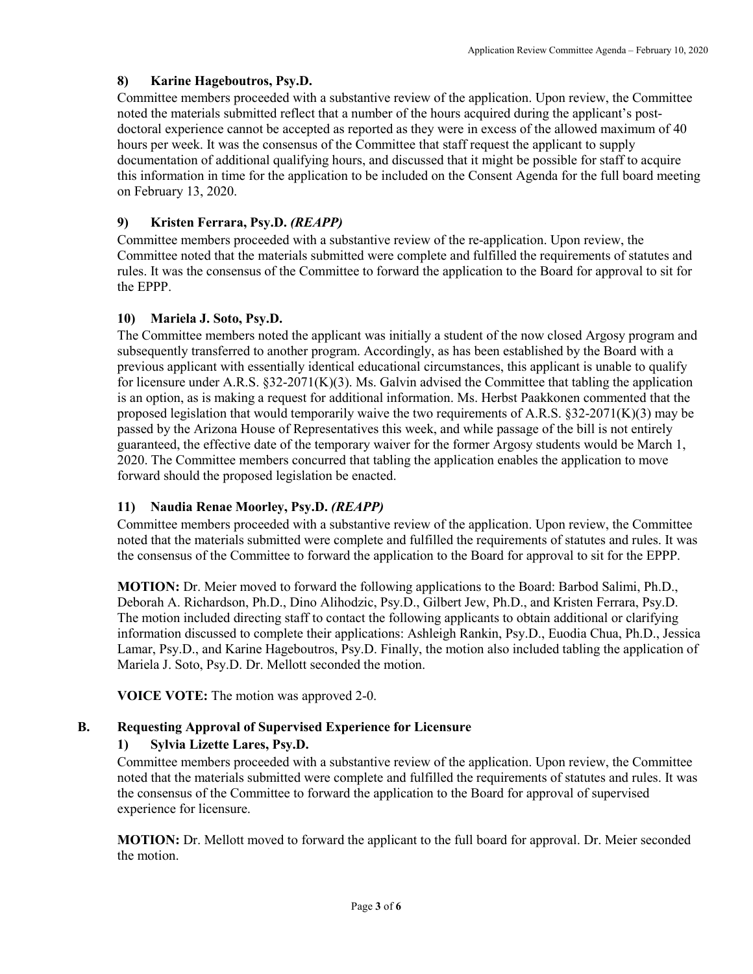# **8) Karine Hageboutros, Psy.D.**

Committee members proceeded with a substantive review of the application. Upon review, the Committee noted the materials submitted reflect that a number of the hours acquired during the applicant's postdoctoral experience cannot be accepted as reported as they were in excess of the allowed maximum of 40 hours per week. It was the consensus of the Committee that staff request the applicant to supply documentation of additional qualifying hours, and discussed that it might be possible for staff to acquire this information in time for the application to be included on the Consent Agenda for the full board meeting on February 13, 2020.

# **9) Kristen Ferrara, Psy.D.** *(REAPP)*

Committee members proceeded with a substantive review of the re-application. Upon review, the Committee noted that the materials submitted were complete and fulfilled the requirements of statutes and rules. It was the consensus of the Committee to forward the application to the Board for approval to sit for the EPPP.

# **10) Mariela J. Soto, Psy.D.**

The Committee members noted the applicant was initially a student of the now closed Argosy program and subsequently transferred to another program. Accordingly, as has been established by the Board with a previous applicant with essentially identical educational circumstances, this applicant is unable to qualify for licensure under A.R.S.  $\S 32-2071(K)(3)$ . Ms. Galvin advised the Committee that tabling the application is an option, as is making a request for additional information. Ms. Herbst Paakkonen commented that the proposed legislation that would temporarily waive the two requirements of A.R.S.  $\S 32{\text -}2071(K)(3)$  may be passed by the Arizona House of Representatives this week, and while passage of the bill is not entirely guaranteed, the effective date of the temporary waiver for the former Argosy students would be March 1, 2020. The Committee members concurred that tabling the application enables the application to move forward should the proposed legislation be enacted.

# **11) Naudia Renae Moorley, Psy.D.** *(REAPP)*

Committee members proceeded with a substantive review of the application. Upon review, the Committee noted that the materials submitted were complete and fulfilled the requirements of statutes and rules. It was the consensus of the Committee to forward the application to the Board for approval to sit for the EPPP.

**MOTION:** Dr. Meier moved to forward the following applications to the Board: Barbod Salimi, Ph.D., Deborah A. Richardson, Ph.D., Dino Alihodzic, Psy.D., Gilbert Jew, Ph.D., and Kristen Ferrara, Psy.D. The motion included directing staff to contact the following applicants to obtain additional or clarifying information discussed to complete their applications: Ashleigh Rankin, Psy.D., Euodia Chua, Ph.D., Jessica Lamar, Psy.D., and Karine Hageboutros, Psy.D. Finally, the motion also included tabling the application of Mariela J. Soto, Psy.D. Dr. Mellott seconded the motion.

**VOICE VOTE:** The motion was approved 2-0.

# **B. Requesting Approval of Supervised Experience for Licensure**

# **1) Sylvia Lizette Lares, Psy.D.**

Committee members proceeded with a substantive review of the application. Upon review, the Committee noted that the materials submitted were complete and fulfilled the requirements of statutes and rules. It was the consensus of the Committee to forward the application to the Board for approval of supervised experience for licensure.

**MOTION:** Dr. Mellott moved to forward the applicant to the full board for approval. Dr. Meier seconded the motion.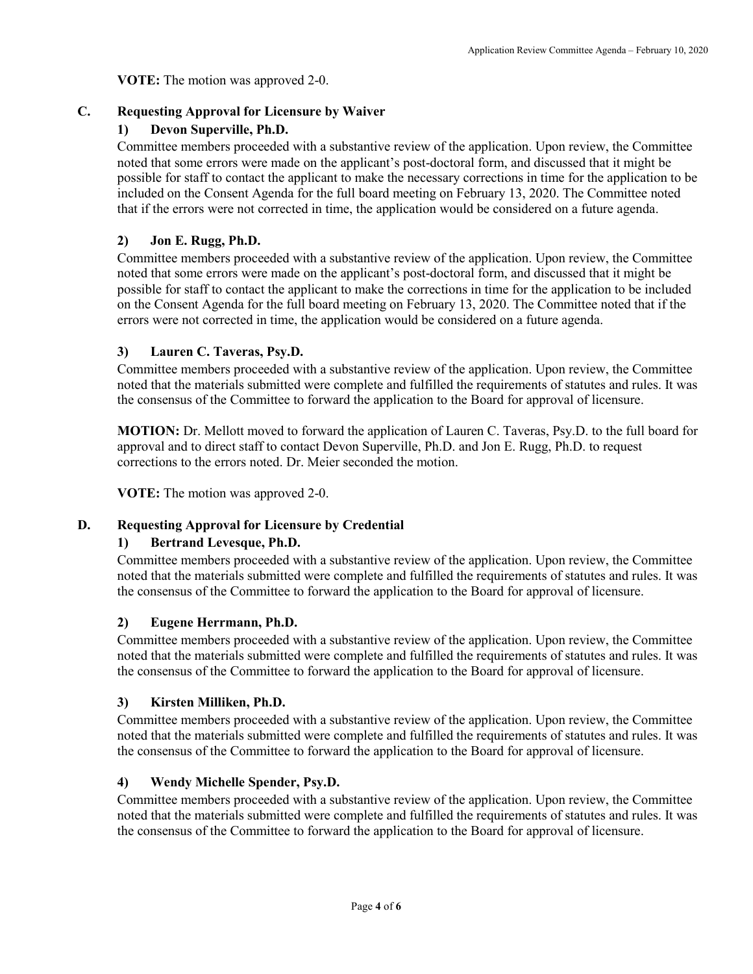**VOTE:** The motion was approved 2-0.

## **C. Requesting Approval for Licensure by Waiver**

## **1) Devon Superville, Ph.D.**

Committee members proceeded with a substantive review of the application. Upon review, the Committee noted that some errors were made on the applicant's post-doctoral form, and discussed that it might be possible for staff to contact the applicant to make the necessary corrections in time for the application to be included on the Consent Agenda for the full board meeting on February 13, 2020. The Committee noted that if the errors were not corrected in time, the application would be considered on a future agenda.

## **2) Jon E. Rugg, Ph.D.**

Committee members proceeded with a substantive review of the application. Upon review, the Committee noted that some errors were made on the applicant's post-doctoral form, and discussed that it might be possible for staff to contact the applicant to make the corrections in time for the application to be included on the Consent Agenda for the full board meeting on February 13, 2020. The Committee noted that if the errors were not corrected in time, the application would be considered on a future agenda.

#### **3) Lauren C. Taveras, Psy.D.**

Committee members proceeded with a substantive review of the application. Upon review, the Committee noted that the materials submitted were complete and fulfilled the requirements of statutes and rules. It was the consensus of the Committee to forward the application to the Board for approval of licensure.

**MOTION:** Dr. Mellott moved to forward the application of Lauren C. Taveras, Psy.D. to the full board for approval and to direct staff to contact Devon Superville, Ph.D. and Jon E. Rugg, Ph.D. to request corrections to the errors noted. Dr. Meier seconded the motion.

**VOTE:** The motion was approved 2-0.

# **D. Requesting Approval for Licensure by Credential**

#### **1) Bertrand Levesque, Ph.D.**

Committee members proceeded with a substantive review of the application. Upon review, the Committee noted that the materials submitted were complete and fulfilled the requirements of statutes and rules. It was the consensus of the Committee to forward the application to the Board for approval of licensure.

# **2) Eugene Herrmann, Ph.D.**

Committee members proceeded with a substantive review of the application. Upon review, the Committee noted that the materials submitted were complete and fulfilled the requirements of statutes and rules. It was the consensus of the Committee to forward the application to the Board for approval of licensure.

#### **3) Kirsten Milliken, Ph.D.**

Committee members proceeded with a substantive review of the application. Upon review, the Committee noted that the materials submitted were complete and fulfilled the requirements of statutes and rules. It was the consensus of the Committee to forward the application to the Board for approval of licensure.

# **4) Wendy Michelle Spender, Psy.D.**

Committee members proceeded with a substantive review of the application. Upon review, the Committee noted that the materials submitted were complete and fulfilled the requirements of statutes and rules. It was the consensus of the Committee to forward the application to the Board for approval of licensure.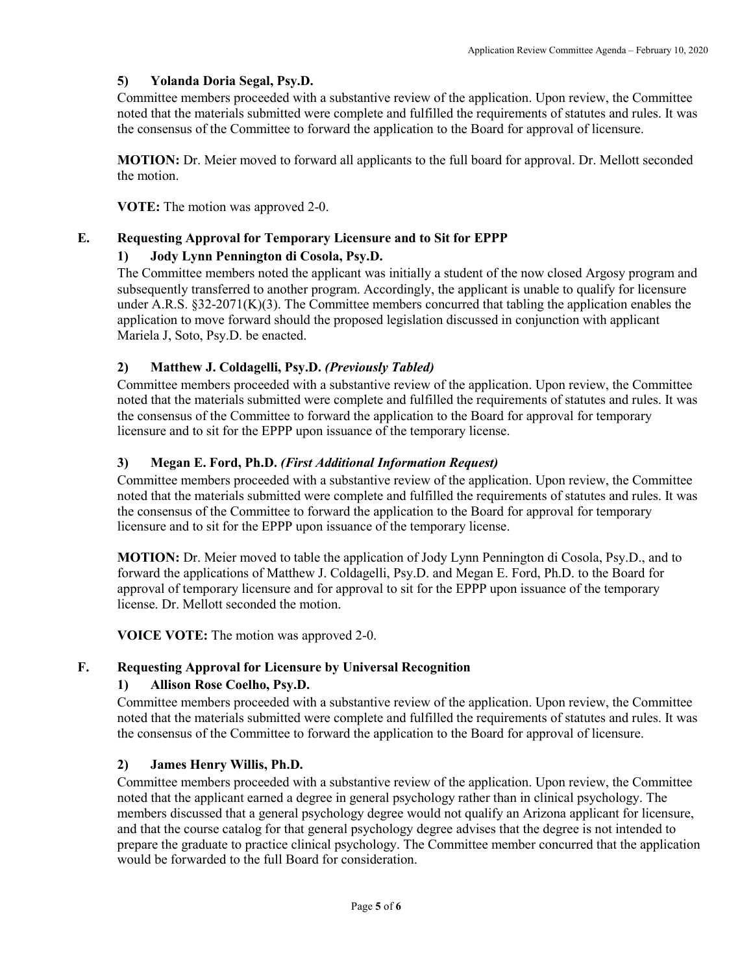# **5) Yolanda Doria Segal, Psy.D.**

Committee members proceeded with a substantive review of the application. Upon review, the Committee noted that the materials submitted were complete and fulfilled the requirements of statutes and rules. It was the consensus of the Committee to forward the application to the Board for approval of licensure.

**MOTION:** Dr. Meier moved to forward all applicants to the full board for approval. Dr. Mellott seconded the motion.

**VOTE:** The motion was approved 2-0.

#### **E. Requesting Approval for Temporary Licensure and to Sit for EPPP**

#### **1) Jody Lynn Pennington di Cosola, Psy.D.**

The Committee members noted the applicant was initially a student of the now closed Argosy program and subsequently transferred to another program. Accordingly, the applicant is unable to qualify for licensure under A.R.S. §32-2071(K)(3). The Committee members concurred that tabling the application enables the application to move forward should the proposed legislation discussed in conjunction with applicant Mariela J, Soto, Psy.D. be enacted.

#### **2) Matthew J. Coldagelli, Psy.D.** *(Previously Tabled)*

Committee members proceeded with a substantive review of the application. Upon review, the Committee noted that the materials submitted were complete and fulfilled the requirements of statutes and rules. It was the consensus of the Committee to forward the application to the Board for approval for temporary licensure and to sit for the EPPP upon issuance of the temporary license.

#### **3) Megan E. Ford, Ph.D.** *(First Additional Information Request)*

Committee members proceeded with a substantive review of the application. Upon review, the Committee noted that the materials submitted were complete and fulfilled the requirements of statutes and rules. It was the consensus of the Committee to forward the application to the Board for approval for temporary licensure and to sit for the EPPP upon issuance of the temporary license.

**MOTION:** Dr. Meier moved to table the application of Jody Lynn Pennington di Cosola, Psy.D., and to forward the applications of Matthew J. Coldagelli, Psy.D. and Megan E. Ford, Ph.D. to the Board for approval of temporary licensure and for approval to sit for the EPPP upon issuance of the temporary license. Dr. Mellott seconded the motion.

**VOICE VOTE:** The motion was approved 2-0.

# **F. Requesting Approval for Licensure by Universal Recognition**

#### **1) Allison Rose Coelho, Psy.D.**

Committee members proceeded with a substantive review of the application. Upon review, the Committee noted that the materials submitted were complete and fulfilled the requirements of statutes and rules. It was the consensus of the Committee to forward the application to the Board for approval of licensure.

#### **2) James Henry Willis, Ph.D.**

Committee members proceeded with a substantive review of the application. Upon review, the Committee noted that the applicant earned a degree in general psychology rather than in clinical psychology. The members discussed that a general psychology degree would not qualify an Arizona applicant for licensure, and that the course catalog for that general psychology degree advises that the degree is not intended to prepare the graduate to practice clinical psychology. The Committee member concurred that the application would be forwarded to the full Board for consideration.